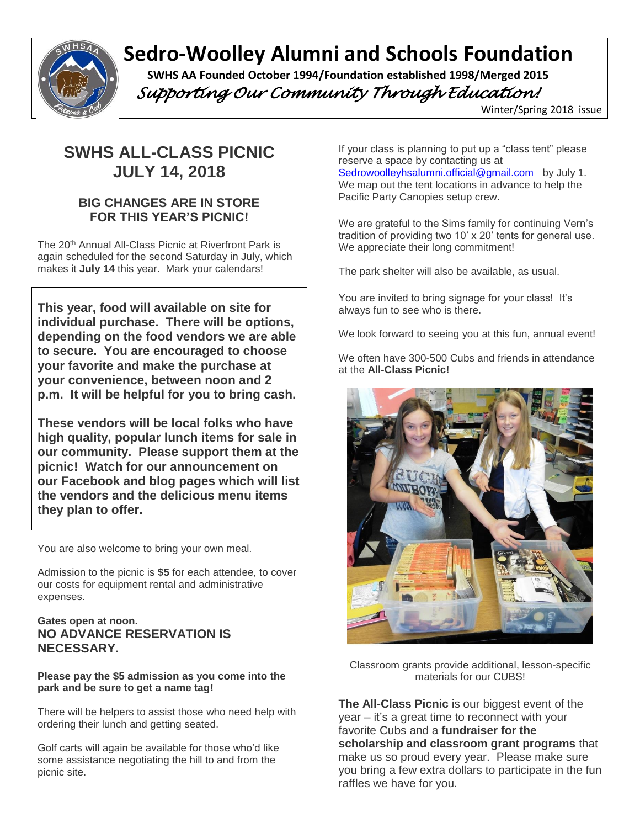

# **Sedro-Woolley Alumni and Schools Foundation**

 **SWHS AA Founded October 1994/Foundation established 1998/Merged 2015**  *Supporting Our Community Through Education!* 

Winter/Spring 2018 issue

## **SWHS ALL-CLASS PICNIC JULY 14, 2018**

## **BIG CHANGES ARE IN STORE FOR THIS YEAR'S PICNIC!**

The 20th Annual All-Class Picnic at Riverfront Park is again scheduled for the second Saturday in July, which makes it **July 14** this year. Mark your calendars!

**This year, food will available on site for individual purchase. There will be options, depending on the food vendors we are able to secure. You are encouraged to choose your favorite and make the purchase at your convenience, between noon and 2 p.m. It will be helpful for you to bring cash.** 

**These vendors will be local folks who have high quality, popular lunch items for sale in our community. Please support them at the picnic! Watch for our announcement on our Facebook and blog pages which will list the vendors and the delicious menu items they plan to offer.** 

You are also welcome to bring your own meal.

Admission to the picnic is **\$5** for each attendee, to cover our costs for equipment rental and administrative expenses.

## **Gates open at noon. NO ADVANCE RESERVATION IS NECESSARY.**

#### **Please pay the \$5 admission as you come into the park and be sure to get a name tag!**

There will be helpers to assist those who need help with ordering their lunch and getting seated.

Golf carts will again be available for those who'd like some assistance negotiating the hill to and from the picnic site.

If your class is planning to put up a "class tent" please reserve a space by contacting us at [Sedrowoolleyhsalumni.official@gmail.com](mailto:Sedrowoolleyhsalumni.official@gmail.com) by July 1. We map out the tent locations in advance to help the Pacific Party Canopies setup crew.

We are grateful to the Sims family for continuing Vern's tradition of providing two 10' x 20' tents for general use. We appreciate their long commitment!

The park shelter will also be available, as usual.

You are invited to bring signage for your class! It's always fun to see who is there.

We look forward to seeing you at this fun, annual event!

We often have 300-500 Cubs and friends in attendance at the **All-Class Picnic!**



Classroom grants provide additional, lesson-specific materials for our CUBS!

**The All-Class Picnic** is our biggest event of the year – it's a great time to reconnect with your favorite Cubs and a **fundraiser for the scholarship and classroom grant programs** that make us so proud every year. Please make sure you bring a few extra dollars to participate in the fun raffles we have for you.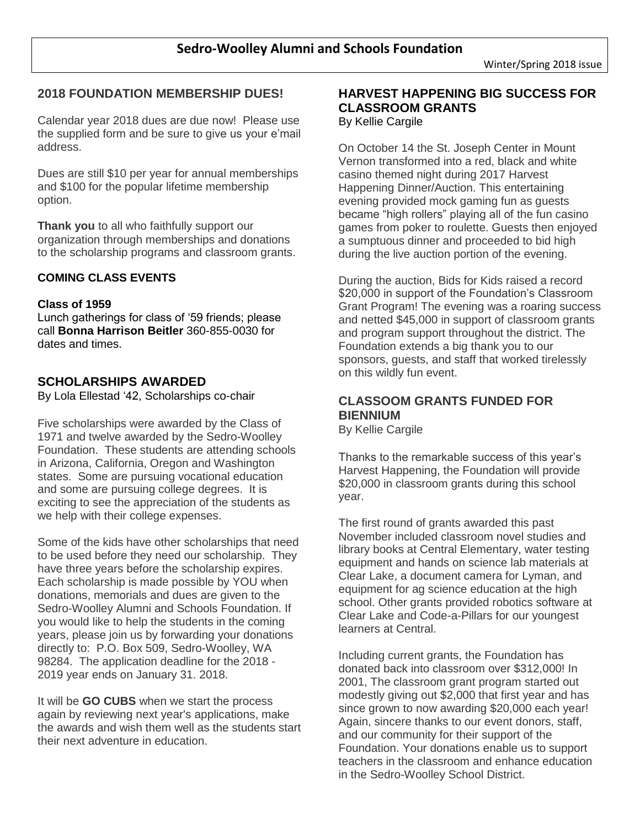## **2018 FOUNDATION MEMBERSHIP DUES!**

Calendar year 2018 dues are due now! Please use the supplied form and be sure to give us your e'mail address.

Dues are still \$10 per year for annual memberships and \$100 for the popular lifetime membership option.

**Thank you** to all who faithfully support our organization through memberships and donations to the scholarship programs and classroom grants.

## **COMING CLASS EVENTS**

#### **Class of 1959**

Lunch gatherings for class of '59 friends; please call **Bonna Harrison Beitler** 360-855-0030 for dates and times.

## **SCHOLARSHIPS AWARDED**

By Lola Ellestad '42, Scholarships co-chair

Five scholarships were awarded by the Class of 1971 and twelve awarded by the Sedro-Woolley Foundation. These students are attending schools in Arizona, California, Oregon and Washington states. Some are pursuing vocational education and some are pursuing college degrees. It is exciting to see the appreciation of the students as we help with their college expenses.

Some of the kids have other scholarships that need to be used before they need our scholarship. They have three years before the scholarship expires. Each scholarship is made possible by YOU when donations, memorials and dues are given to the Sedro-Woolley Alumni and Schools Foundation. If you would like to help the students in the coming years, please join us by forwarding your donations directly to: P.O. Box 509, Sedro-Woolley, WA 98284. The application deadline for the 2018 - 2019 year ends on January 31. 2018.

It will be **GO CUBS** when we start the process again by reviewing next year's applications, make the awards and wish them well as the students start their next adventure in education.

## **HARVEST HAPPENING BIG SUCCESS FOR CLASSROOM GRANTS**

By Kellie Cargile

On October 14 the St. Joseph Center in Mount Vernon transformed into a red, black and white casino themed night during 2017 Harvest Happening Dinner/Auction. This entertaining evening provided mock gaming fun as guests became "high rollers" playing all of the fun casino games from poker to roulette. Guests then enjoyed a sumptuous dinner and proceeded to bid high during the live auction portion of the evening.

During the auction, Bids for Kids raised a record \$20,000 in support of the Foundation's Classroom Grant Program! The evening was a roaring success and netted \$45,000 in support of classroom grants and program support throughout the district. The Foundation extends a big thank you to our sponsors, guests, and staff that worked tirelessly on this wildly fun event.

## **CLASSOOM GRANTS FUNDED FOR BIENNIUM**

By Kellie Cargile

Thanks to the remarkable success of this year's Harvest Happening, the Foundation will provide \$20,000 in classroom grants during this school year.

The first round of grants awarded this past November included classroom novel studies and library books at Central Elementary, water testing equipment and hands on science lab materials at Clear Lake, a document camera for Lyman, and equipment for ag science education at the high school. Other grants provided robotics software at Clear Lake and Code-a-Pillars for our youngest learners at Central.

Including current grants, the Foundation has donated back into classroom over \$312,000! In 2001, The classroom grant program started out modestly giving out \$2,000 that first year and has since grown to now awarding \$20,000 each year! Again, sincere thanks to our event donors, staff, and our community for their support of the Foundation. Your donations enable us to support teachers in the classroom and enhance education in the Sedro-Woolley School District.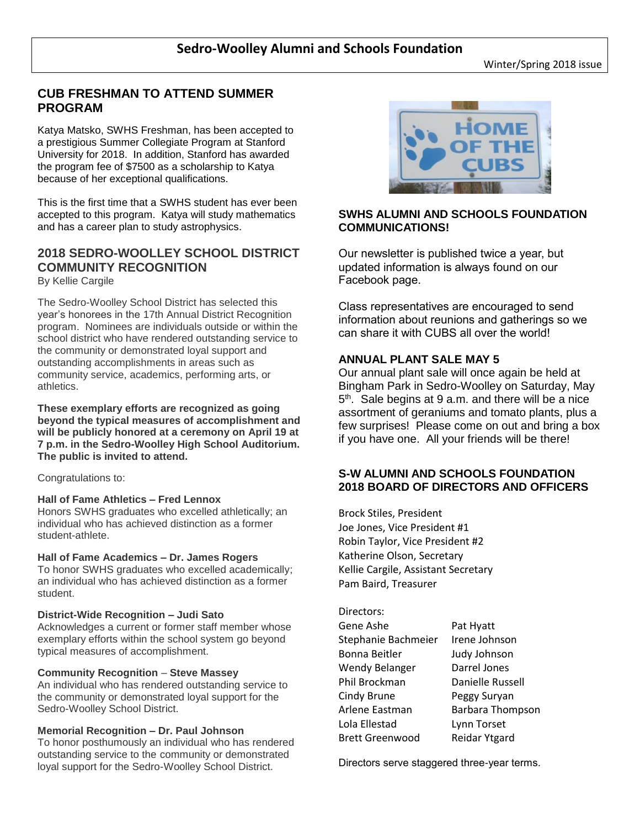## **CUB FRESHMAN TO ATTEND SUMMER PROGRAM**

Katya Matsko, SWHS Freshman, has been accepted to a prestigious Summer Collegiate Program at Stanford University for 2018. In addition, Stanford has awarded the program fee of \$7500 as a scholarship to Katya because of her exceptional qualifications.

This is the first time that a SWHS student has ever been accepted to this program. Katya will study mathematics and has a career plan to study astrophysics.

## **2018 SEDRO-WOOLLEY SCHOOL DISTRICT COMMUNITY RECOGNITION**

By Kellie Cargile

The Sedro-Woolley School District has selected this year's honorees in the 17th Annual District Recognition program. Nominees are individuals outside or within the school district who have rendered outstanding service to the community or demonstrated loyal support and outstanding accomplishments in areas such as community service, academics, performing arts, or athletics.

**These exemplary efforts are recognized as going beyond the typical measures of accomplishment and will be publicly honored at a ceremony on April 19 at 7 p.m. in the Sedro-Woolley High School Auditorium. The public is invited to attend.**

Congratulations to:

#### **Hall of Fame Athletics – Fred Lennox**

Honors SWHS graduates who excelled athletically; an individual who has achieved distinction as a former student-athlete.

#### **Hall of Fame Academics – Dr. James Rogers**

To honor SWHS graduates who excelled academically; an individual who has achieved distinction as a former student.

#### **District-Wide Recognition – Judi Sato**

Acknowledges a current or former staff member whose exemplary efforts within the school system go beyond typical measures of accomplishment.

#### **Community Recognition** – **Steve Massey**

An individual who has rendered outstanding service to the community or demonstrated loyal support for the Sedro-Woolley School District.

#### **Memorial Recognition – Dr. Paul Johnson**

To honor posthumously an individual who has rendered outstanding service to the community or demonstrated loyal support for the Sedro-Woolley School District.



#### **SWHS ALUMNI AND SCHOOLS FOUNDATION COMMUNICATIONS!**

Our newsletter is published twice a year, but updated information is always found on our Facebook page.

Class representatives are encouraged to send information about reunions and gatherings so we can share it with CUBS all over the world!

#### **ANNUAL PLANT SALE MAY 5**

Our annual plant sale will once again be held at Bingham Park in Sedro-Woolley on Saturday, May 5<sup>th</sup>. Sale begins at 9 a.m. and there will be a nice assortment of geraniums and tomato plants, plus a few surprises! Please come on out and bring a box if you have one. All your friends will be there!

#### **S-W ALUMNI AND SCHOOLS FOUNDATION 2018 BOARD OF DIRECTORS AND OFFICERS**

Brock Stiles, President Joe Jones, Vice President #1 Robin Taylor, Vice President #2 Katherine Olson, Secretary Kellie Cargile, Assistant Secretary Pam Baird, Treasurer

#### Directors:

| Gene Ashe              | Pat Hyatt               |
|------------------------|-------------------------|
| Stephanie Bachmeier    | Irene Johnson           |
| Bonna Beitler          | Judy Johnson            |
| Wendy Belanger         | Darrel Jones            |
| Phil Brockman          | Danielle Russell        |
| Cindy Brune            | Peggy Suryan            |
| Arlene Eastman         | <b>Barbara Thompson</b> |
| Lola Ellestad          | Lynn Torset             |
| <b>Brett Greenwood</b> | <b>Reidar Ytgard</b>    |
|                        |                         |

Directors serve staggered three-year terms.